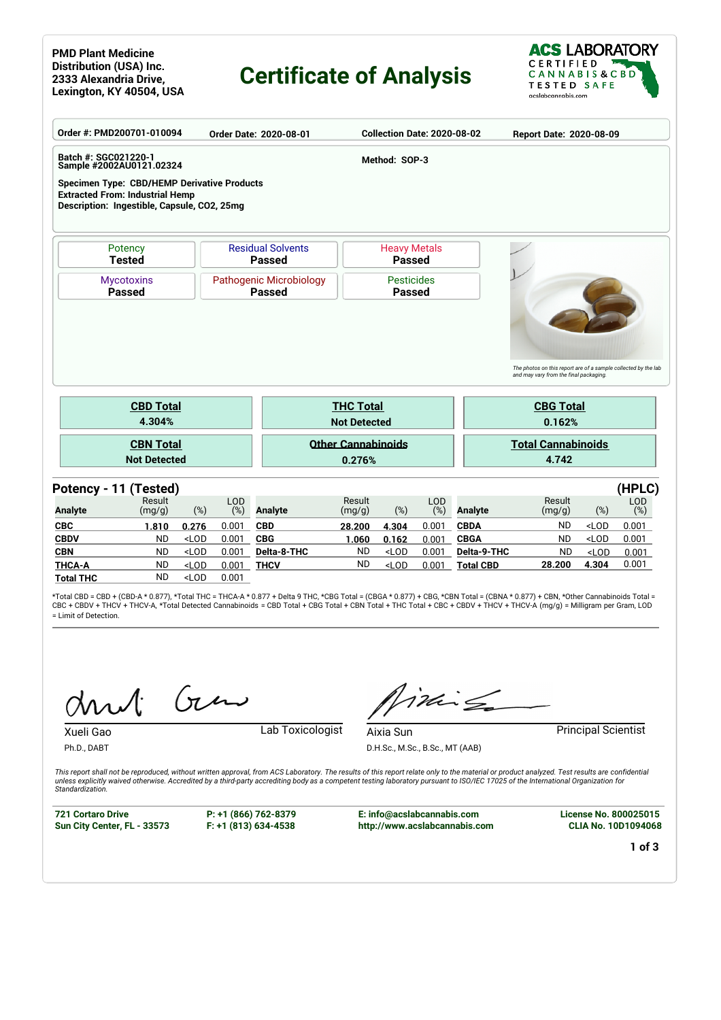#### **PMD Plant Medicine Distribution (USA) Inc. 2333 Alexandria Drive, Lexington, KY 40504, USA**

## **Certificate of Analysis**



|                       | Order #: PMD200701-010094                                                                                                                   |                                                                                                                                                                                        |                   | Order Date: 2020-08-01             |                     | Collection Date: 2020-08-02 |                   |                  | Report Date: 2020-08-09                                                                                  |         |                      |
|-----------------------|---------------------------------------------------------------------------------------------------------------------------------------------|----------------------------------------------------------------------------------------------------------------------------------------------------------------------------------------|-------------------|------------------------------------|---------------------|-----------------------------|-------------------|------------------|----------------------------------------------------------------------------------------------------------|---------|----------------------|
| Batch #: SGC021220-1  | Sample #2002AU0121.02324                                                                                                                    |                                                                                                                                                                                        |                   |                                    |                     | Method: SOP-3               |                   |                  |                                                                                                          |         |                      |
|                       | <b>Specimen Type: CBD/HEMP Derivative Products</b><br><b>Extracted From: Industrial Hemp</b><br>Description: Ingestible, Capsule, CO2, 25mg |                                                                                                                                                                                        |                   |                                    |                     |                             |                   |                  |                                                                                                          |         |                      |
|                       | Potency                                                                                                                                     |                                                                                                                                                                                        |                   | <b>Residual Solvents</b>           |                     | <b>Heavy Metals</b>         |                   |                  |                                                                                                          |         |                      |
|                       | <b>Tested</b>                                                                                                                               |                                                                                                                                                                                        |                   | <b>Passed</b>                      |                     | <b>Passed</b>               |                   |                  |                                                                                                          |         |                      |
|                       | <b>Mycotoxins</b><br><b>Passed</b>                                                                                                          | Pathogenic Microbiology<br><b>Passed</b>                                                                                                                                               |                   | <b>Pesticides</b><br><b>Passed</b> |                     |                             |                   |                  |                                                                                                          |         |                      |
|                       |                                                                                                                                             |                                                                                                                                                                                        |                   |                                    |                     |                             |                   |                  |                                                                                                          |         |                      |
|                       |                                                                                                                                             |                                                                                                                                                                                        |                   |                                    |                     |                             |                   |                  | The photos on this report are of a sample collected by the lab<br>and may vary from the final packaging. |         |                      |
|                       | <b>CBD Total</b>                                                                                                                            |                                                                                                                                                                                        |                   |                                    | <b>THC Total</b>    |                             |                   |                  | <b>CBG Total</b>                                                                                         |         |                      |
|                       | 4.304%                                                                                                                                      |                                                                                                                                                                                        |                   |                                    | <b>Not Detected</b> |                             |                   | 0.162%           |                                                                                                          |         |                      |
|                       | <b>CBN Total</b>                                                                                                                            |                                                                                                                                                                                        |                   | <b>Other Cannabinoids</b>          |                     |                             |                   |                  | <b>Total Cannabinoids</b>                                                                                |         |                      |
|                       | <b>Not Detected</b>                                                                                                                         |                                                                                                                                                                                        |                   |                                    | 0.276%              |                             |                   |                  | 4.742                                                                                                    |         |                      |
| Potency - 11 (Tested) |                                                                                                                                             |                                                                                                                                                                                        |                   |                                    |                     |                             |                   |                  |                                                                                                          |         | (HPLC)               |
| <b>Analyte</b>        | Result<br>(mg/g)                                                                                                                            | $(\%)$                                                                                                                                                                                 | <b>LOD</b><br>(%) | <b>Analyte</b>                     | Result<br>(mg/g)    | (%)                         | <b>LOD</b><br>(%) | <b>Analyte</b>   | Result<br>(mg/g)                                                                                         | $(\%)$  | <b>LOD</b><br>$(\%)$ |
| <b>CBC</b>            | 1.810                                                                                                                                       | 0.276                                                                                                                                                                                  | 0.001             | <b>CBD</b>                         | 28.200              | 4.304                       | 0.001             | <b>CBDA</b>      | <b>ND</b>                                                                                                | $<$ LOD | 0.001                |
| <b>CBDV</b>           | <b>ND</b>                                                                                                                                   | $<$ LOD                                                                                                                                                                                | 0.001             | <b>CBG</b>                         | 1.060               | 0.162                       | 0.001             | <b>CBGA</b>      | <b>ND</b>                                                                                                | $<$ LOD | 0.001                |
| <b>CBN</b>            | <b>ND</b>                                                                                                                                   | $<$ LOD                                                                                                                                                                                | 0.001             | Delta-8-THC                        | <b>ND</b>           | $<$ LOD                     | 0.001             | Delta-9-THC      | <b>ND</b>                                                                                                | $<$ LOD | 0.001                |
| <b>THCA-A</b>         | <b>ND</b>                                                                                                                                   | <lod< th=""><th>0.001</th><th><b>THCV</b></th><th><b>ND</b></th><th><math>&lt;</math>LOD</th><th>0.001</th><th><b>Total CBD</b></th><th>28.200</th><th>4.304</th><th>0.001</th></lod<> | 0.001             | <b>THCV</b>                        | <b>ND</b>           | $<$ LOD                     | 0.001             | <b>Total CBD</b> | 28.200                                                                                                   | 4.304   | 0.001                |
| <b>Total THC</b>      | <b>ND</b>                                                                                                                                   | $<$ LOD                                                                                                                                                                                | 0.001             |                                    |                     |                             |                   |                  |                                                                                                          |         |                      |

\*Total CBD = CBD + (CBD-A \* 0.877), \*Total THC = THCA-A \* 0.877 + Delta 9 THC, \*CBG Total = (CBGA \* 0.877) + CBG, \*CBN Total = (CBNA \* 0.877) + CBN, \*Other Cannabinoids Total = CBC + CBDV + THCV + THCV-A, \*Total Detected Cannabinoids = CBD Total + CBG Total + CBN Total + THC Total + CBC + CBDV + THCV + THCV-A (mg/g) = Milligram per Gram, LOD = Limit of Detection.

Gen

Xueli Gao Lab Toxicologist

inis

**Aixia Sun Principal Scientist** D.H.Sc., M.Sc., B.Sc., MT (AAB)

*This report shall not be reproduced, without written approval, from ACS Laboratory. The results of this report relate only to the material or product analyzed. Test results are confidential unless explicitly waived otherwise. Accredited by a third-party accrediting body as a competent testing laboratory pursuant to ISO/IEC 17025 of the International Organization for Standardization.*

**721 Cortaro Drive Sun City Center, FL - 33573**

Ph.D., DABT

**P: +1 (866) 762-8379 F: +1 (813) 634-4538**

**E: info@acslabcannabis.com http://www.acslabcannabis.com** **License No. 800025015 CLIA No. 10D1094068**

**1 of 3**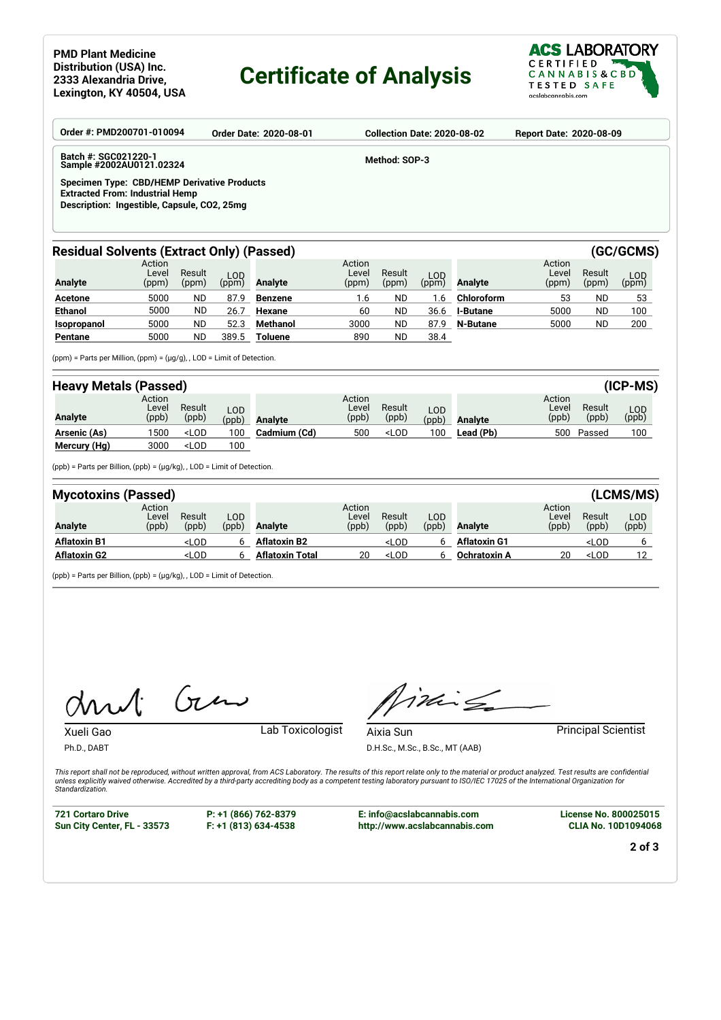#### **PMD Plant Medicine Distribution (USA) Inc. 2333 Alexandria Drive, Lexington, KY 40504, USA**

# **Certificate of Analysis**



| Order #: PMD200701-010094<br>Order Date: 2020-08-01                                                                                  | <b>Collection Date: 2020-08-02</b><br><b>Report Date: 2020-08-09</b> |
|--------------------------------------------------------------------------------------------------------------------------------------|----------------------------------------------------------------------|
| Batch #: SGC021220-1<br>Sample #2002AU0121.02324                                                                                     | Method: SOP-3                                                        |
| Specimen Type: CBD/HEMP Derivative Products<br><b>Extracted From: Industrial Hemp</b><br>Description: Ingestible, Capsule, CO2, 25mg |                                                                      |

## Residual Solvents (Extract Only) (Passed) **(GC/GCMS)** (GC/GCMS)

| Analyte        | Action<br>Level<br>(ppm) | Result<br>(ppm) | LOD<br>(ppm) | Analyte         | Action<br>Level<br>(ppm) | Result<br>(ppm) | LOD <sup>1</sup><br>(ppm) | Analyte         | Action<br>Level<br>(ppm) | Result<br>(ppm) | LOD<br>(ppm) |
|----------------|--------------------------|-----------------|--------------|-----------------|--------------------------|-----------------|---------------------------|-----------------|--------------------------|-----------------|--------------|
| <b>Acetone</b> | 5000                     | <b>ND</b>       | 87.9         | Benzene         | 1.6                      | <b>ND</b>       | l .6                      | Chloroform      | 53                       | ND              | 53           |
| <b>Ethanol</b> | 5000                     | <b>ND</b>       | 26.          | Hexane          | 60                       | <b>ND</b>       | 36.6                      | <b>I-Butane</b> | 5000                     | <b>ND</b>       | 100          |
| Isopropanol    | 5000                     | <b>ND</b>       | 52.3         | <b>Methanol</b> | 3000                     | <b>ND</b>       | 87.9                      | N-Butane        | 5000                     | <b>ND</b>       | 200          |
| Pentane        | 5000                     | ND              | 389.5        | Toluene         | 890                      | <b>ND</b>       | 38.4                      |                 |                          |                 |              |

(ppm) = Parts per Million, (ppm) = (µg/g), , LOD = Limit of Detection.

| <b>Heavy Metals (Passed)</b> |                          |                                                                                                                                                                   |                     |                |                          |                                                                                          |               |           |                          |                 | $(ICP-MS)$   |
|------------------------------|--------------------------|-------------------------------------------------------------------------------------------------------------------------------------------------------------------|---------------------|----------------|--------------------------|------------------------------------------------------------------------------------------|---------------|-----------|--------------------------|-----------------|--------------|
| Analyte                      | Action<br>Level<br>(ppb) | Result<br>(ppb)                                                                                                                                                   | <b>LOD</b><br>(ppb) | <b>Analyte</b> | Action<br>Level<br>(ppb) | Result<br>(ppb)                                                                          | LOD.<br>(ppb) | Analyte   | Action<br>Level<br>(ppb) | Result<br>(ppb) | LOD<br>(ppb) |
| Arsenic (As)                 | 1500                     | <lod< th=""><th>100</th><th>Cadmium (Cd)</th><th>500</th><th><lod< th=""><th>100</th><th>Lead (Pb)</th><th>500</th><th>Passed</th><th>100</th></lod<></th></lod<> | 100                 | Cadmium (Cd)   | 500                      | <lod< th=""><th>100</th><th>Lead (Pb)</th><th>500</th><th>Passed</th><th>100</th></lod<> | 100           | Lead (Pb) | 500                      | Passed          | 100          |
| Mercury (Hg)                 | 3000                     | <lod< th=""><th>100</th><th></th><th></th><th></th><th></th><th></th><th></th><th></th><th></th></lod<>                                                           | 100                 |                |                          |                                                                                          |               |           |                          |                 |              |

(ppb) = Parts per Billion, (ppb) = (µg/kg), , LOD = Limit of Detection.

| <b>Mycotoxins (Passed)</b> |                          |                                                                                                                                                                                            |              |                        |                          |                                                                                                            |              |                     |                          |                                | (LCMS/MS)    |
|----------------------------|--------------------------|--------------------------------------------------------------------------------------------------------------------------------------------------------------------------------------------|--------------|------------------------|--------------------------|------------------------------------------------------------------------------------------------------------|--------------|---------------------|--------------------------|--------------------------------|--------------|
| <b>Analyte</b>             | Action<br>Level<br>(ppb) | Result<br>(ppb)                                                                                                                                                                            | ∟OD<br>(ppb) | <b>Analyte</b>         | Action<br>Level<br>(ppb) | Result<br>(ppb)                                                                                            | LOD<br>(ppb) | <b>Analyte</b>      | Action<br>Level<br>(ppb) | Result<br>(ppb)                | LOD<br>(ppb) |
| <b>Aflatoxin B1</b>        |                          | <lod< th=""><th>h</th><th><b>Aflatoxin B2</b></th><th></th><th><lod< th=""><th></th><th><b>Aflatoxin G1</b></th><th></th><th><lod< th=""><th></th></lod<></th></lod<></th></lod<>          | h            | <b>Aflatoxin B2</b>    |                          | <lod< th=""><th></th><th><b>Aflatoxin G1</b></th><th></th><th><lod< th=""><th></th></lod<></th></lod<>     |              | <b>Aflatoxin G1</b> |                          | <lod< th=""><th></th></lod<>   |              |
| <b>Aflatoxin G2</b>        |                          | <lod< th=""><th>6</th><th><b>Aflatoxin Total</b></th><th>20</th><th><lod< th=""><th></th><th><b>Ochratoxin A</b></th><th>20</th><th><lod< th=""><th>12</th></lod<></th></lod<></th></lod<> | 6            | <b>Aflatoxin Total</b> | 20                       | <lod< th=""><th></th><th><b>Ochratoxin A</b></th><th>20</th><th><lod< th=""><th>12</th></lod<></th></lod<> |              | <b>Ochratoxin A</b> | 20                       | <lod< th=""><th>12</th></lod<> | 12           |

(ppb) = Parts per Billion, (ppb) = (µg/kg), , LOD = Limit of Detection.

 $G_{\nu}$  $\mathcal{A}$ 

Xueli Gao Lab Toxicologist

inis

**Aixia Sun Principal Scientist** D.H.Sc., M.Sc., B.Sc., MT (AAB)

*This report shall not be reproduced, without written approval, from ACS Laboratory. The results of this report relate only to the material or product analyzed. Test results are confidential unless explicitly waived otherwise. Accredited by a third-party accrediting body as a competent testing laboratory pursuant to ISO/IEC 17025 of the International Organization for Standardization.*

**721 Cortaro Drive Sun City Center, FL - 33573**

Ph.D., DABT

**P: +1 (866) 762-8379 F: +1 (813) 634-4538**

**E: info@acslabcannabis.com http://www.acslabcannabis.com** **License No. 800025015 CLIA No. 10D1094068**

**2 of 3**